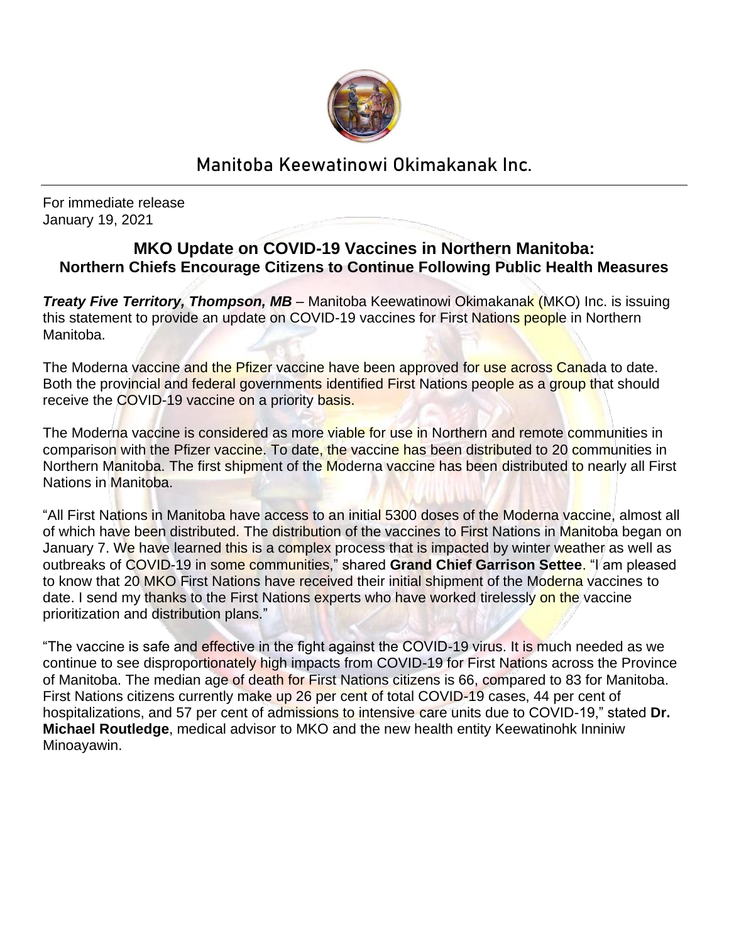

## Manitoba Keewatinowi Okimakanak Inc.

For immediate release January 19, 2021

## **MKO Update on COVID-19 Vaccines in Northern Manitoba: Northern Chiefs Encourage Citizens to Continue Following Public Health Measures**

*Treaty Five Territory, Thompson, MB –* Manitoba Keewatinowi Okimakanak (MKO) Inc. is issuing this statement to provide an update on COVID-19 vaccines for First Nations people in Northern Manitoba.

The Moderna vaccine and the Pfizer vaccine have been approved for use across Canada to date. Both the provincial and federal governments identified First Nations people as a group that should receive the COVID-19 vaccine on a priority basis.

The Moderna vaccine is considered as more viable for use in Northern and remote communities in comparison with the Pfizer vaccine. To date, the vaccine has been distributed to 20 communities in Northern Manitoba. The first shipment of the Moderna vaccine has been distributed to nearly all First Nations in Manitoba.

"All First Nations in Manitoba have access to an initial 5300 doses of the Moderna vaccine, almost all of which have been distributed. The distribution of the vaccines to First Nations in Manitoba began on January 7. We have learned this is a complex process that is impacted by winter weather as well as outbreaks of COVID-19 in some communities," shared **Grand Chief Garrison Settee**. "I am pleased to know that 20 MKO First Nations have received their initial shipment of the Moderna vaccines to date. I send my thanks to the First Nations experts who have worked tirelessly on the vaccine prioritization and distribution plans."

"The vaccine is safe and effective in the fight against the COVID-19 virus. It is much needed as we continue to see disproportionately high impacts from COVID-19 for First Nations across the Province of Manitoba. The median age of death for First Nations citizens is 66, compared to 83 for Manitoba. First Nations citizens currently make up 26 per cent of total COVID-19 cases, 44 per cent of hospitalizations, and 57 per cent of admissions to intensive care units due to COVID-19," stated **Dr. Michael Routledge**, medical advisor to MKO and the new health entity Keewatinohk Inniniw Minoayawin.